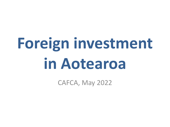# **Foreign investment in Aotearoa**

CAFCA, May 2022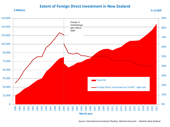#### **Extent of Foreign Direct Investment in New Zealand**



*Source: International Investment Position, National Accounts - Statistics New Zealand*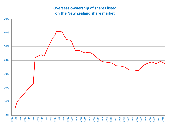## **Overseas ownership of shares listed on the New Zealand share market**

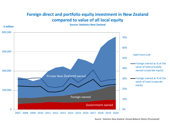## **Foreign direct and portfolio equity investment in New Zealand compared to value of all local equity**



*Source: Statistics New Zealand Annual Balance Sheets (Provisional)*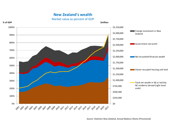### **New Zealand's wealth**



Market value as percent of GDP

*Source: Statistics New Zealand, Annual Balance Sheets (Provisional)*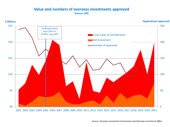#### **Value and numbers of overseas investments approved Source: OIO**



*Source: Overseas Investment Commission and Overseas Investment Office*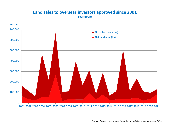# **Land sales to overseas investors approved since 2001**

**Source: OIO**

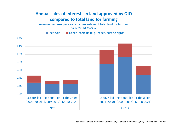## **Annual sales of interests in land approved by OIO compared to total land for farming**

Average hectares per year as a percentage of total land for farming Sources: OIO, Stats NZ

Freehold  $\blacksquare$  Other interests (e.g. leases, cutting rights)

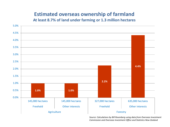## **Estimated overseas ownership of farmland**

**At least 8.7% of land under farming or 1.3 million hectares**



*Source: Calculations by Bill Rosenberg using data from Overseas Investment Commission and Overseas Investment Office and Statistics New Zealand*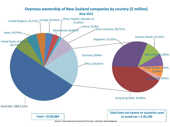#### **Overseas ownership of New Zealand companies by country (\$ million) May 2022**

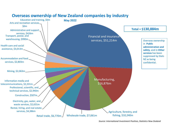

### **Overseas ownership of New Zealand companies by industry**

*Source: International Investment Position, Statistics New Zealand*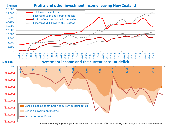

*Sources: Balance of Payments: primary income, and Key Statistics Table 7.04 - Value of principal exports - Statistics New Zealand*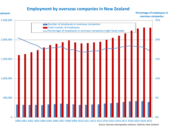## **Employment by overseas companies in New Zealand**



*Source: Business demography statistics, Statistics New Zealand*